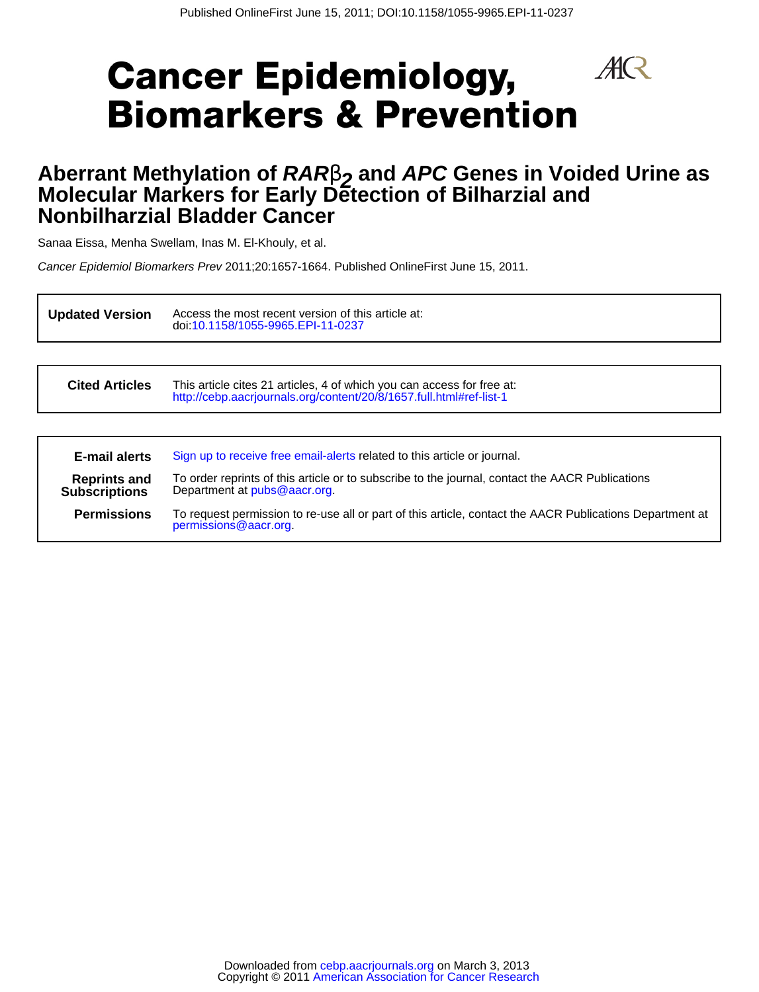$A\!R$ 

# **Cancer Epidemiology, Biomarkers & Prevention**

# **Nonbilharzial Bladder Cancer Molecular Markers for Early Detection of Bilharzial and Aberrant Methylation of RAR** $\beta$  and APC Genes in Voided Urine as <br>Melecular Markers for Fark: Detaction of Dilharmial and

Sanaa Eissa, Menha Swellam, Inas M. El-Khouly, et al.

Cancer Epidemiol Biomarkers Prev 2011;20:1657-1664. Published OnlineFirst June 15, 2011.

**Updated Version** doi[:10.1158/1055-9965.EPI-11-0237](http://cebp.aacrjournals.org/lookup/doi/10.1158/1055-9965.EPI-11-0237) Access the most recent version of this article at:

**Cited Articles** <http://cebp.aacrjournals.org/content/20/8/1657.full.html#ref-list-1> This article cites 21 articles, 4 of which you can access for free at:

| E-mail alerts                               | Sign up to receive free email-alerts related to this article or journal.                                                          |
|---------------------------------------------|-----------------------------------------------------------------------------------------------------------------------------------|
| <b>Reprints and</b><br><b>Subscriptions</b> | To order reprints of this article or to subscribe to the journal, contact the AACR Publications<br>Department at pubs@aacr.org.   |
| <b>Permissions</b>                          | To request permission to re-use all or part of this article, contact the AACR Publications Department at<br>permissions@aacr.org. |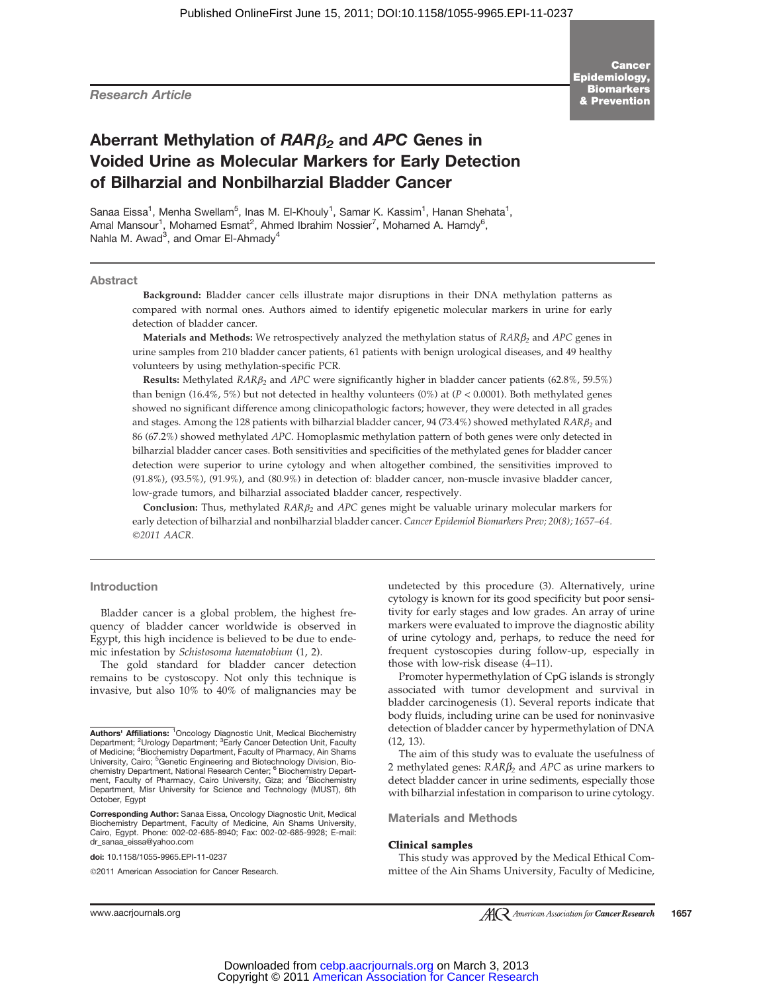Research Article

# Aberrant Methylation of  $RAR\beta_2$  and APC Genes in Voided Urine as Molecular Markers for Early Detection of Bilharzial and Nonbilharzial Bladder Cancer

Sanaa Eissa<sup>1</sup>, Menha Swellam<sup>5</sup>, Inas M. El-Khouly<sup>1</sup>, Samar K. Kassim<sup>1</sup>, Hanan Shehata<sup>1</sup>, Amal Mansour<sup>1</sup>, Mohamed Esmat<sup>2</sup>, Ahmed Ibrahim Nossier<sup>7</sup>, Mohamed A. Hamdy<sup>6</sup>, Nahla M. Awad<sup>3</sup>, and Omar El-Ahmady<sup>4</sup>

### Abstract

Background: Bladder cancer cells illustrate major disruptions in their DNA methylation patterns as compared with normal ones. Authors aimed to identify epigenetic molecular markers in urine for early detection of bladder cancer.

Materials and Methods: We retrospectively analyzed the methylation status of  $RAR\beta_2$  and APC genes in urine samples from 210 bladder cancer patients, 61 patients with benign urological diseases, and 49 healthy volunteers by using methylation-specific PCR.

**Results:** Methylated  $RAR\beta_2$  and APC were significantly higher in bladder cancer patients (62.8%, 59.5%) than benign (16.4%, 5%) but not detected in healthy volunteers (0%) at ( $P < 0.0001$ ). Both methylated genes showed no significant difference among clinicopathologic factors; however, they were detected in all grades and stages. Among the 128 patients with bilharzial bladder cancer, 94 (73.4%) showed methylated  $RAR\beta_2$  and 86 (67.2%) showed methylated APC. Homoplasmic methylation pattern of both genes were only detected in bilharzial bladder cancer cases. Both sensitivities and specificities of the methylated genes for bladder cancer detection were superior to urine cytology and when altogether combined, the sensitivities improved to (91.8%), (93.5%), (91.9%), and (80.9%) in detection of: bladder cancer, non-muscle invasive bladder cancer, low-grade tumors, and bilharzial associated bladder cancer, respectively.

Conclusion: Thus, methylated  $RAR\beta_2$  and  $APC$  genes might be valuable urinary molecular markers for early detection of bilharzial and nonbilharzial bladder cancer. Cancer Epidemiol Biomarkers Prev; 20(8); 1657–64. ©2011 AACR.

# Introduction

Bladder cancer is a global problem, the highest frequency of bladder cancer worldwide is observed in Egypt, this high incidence is believed to be due to endemic infestation by Schistosoma haematobium (1, 2).

The gold standard for bladder cancer detection remains to be cystoscopy. Not only this technique is invasive, but also 10% to 40% of malignancies may be

Corresponding Author: Sanaa Eissa, Oncology Diagnostic Unit, Medical Biochemistry Department, Faculty of Medicine, Ain Shams University, Cairo, Egypt. Phone: 002-02-685-8940; Fax: 002-02-685-9928; E-mail: dr\_sanaa\_eissa@yahoo.com

doi: 10.1158/1055-9965.EPI-11-0237

©2011 American Association for Cancer Research.

undetected by this procedure (3). Alternatively, urine cytology is known for its good specificity but poor sensitivity for early stages and low grades. An array of urine markers were evaluated to improve the diagnostic ability of urine cytology and, perhaps, to reduce the need for frequent cystoscopies during follow-up, especially in those with low-risk disease (4–11).

Promoter hypermethylation of CpG islands is strongly associated with tumor development and survival in bladder carcinogenesis (1). Several reports indicate that body fluids, including urine can be used for noninvasive detection of bladder cancer by hypermethylation of DNA (12, 13).

The aim of this study was to evaluate the usefulness of 2 methylated genes:  $RAR\beta_2$  and  $APC$  as urine markers to detect bladder cancer in urine sediments, especially those with bilharzial infestation in comparison to urine cytology.

Materials and Methods

#### Clinical samples

This study was approved by the Medical Ethical Committee of the Ain Shams University, Faculty of Medicine,

Authors' Affiliations: <sup>1</sup>Oncology Diagnostic Unit, Medical Biochemistry Department; <sup>2</sup>Urology Department; <sup>3</sup>Early Cancer Detection Unit, Faculty of Medicine; <sup>4</sup>Biochemistry Department, Faculty of Pharmacy, Ain Shams<br>University, Cairo; <sup>5</sup>Genetic Engineering and Biotechnology Division, Bio-<br> ment, Faculty of Pharmacy, Cairo University, Giza; and <sup>7</sup> Biochemistry<br>Department, Misr University for Science and Technology (MUST), 6th October, Egypt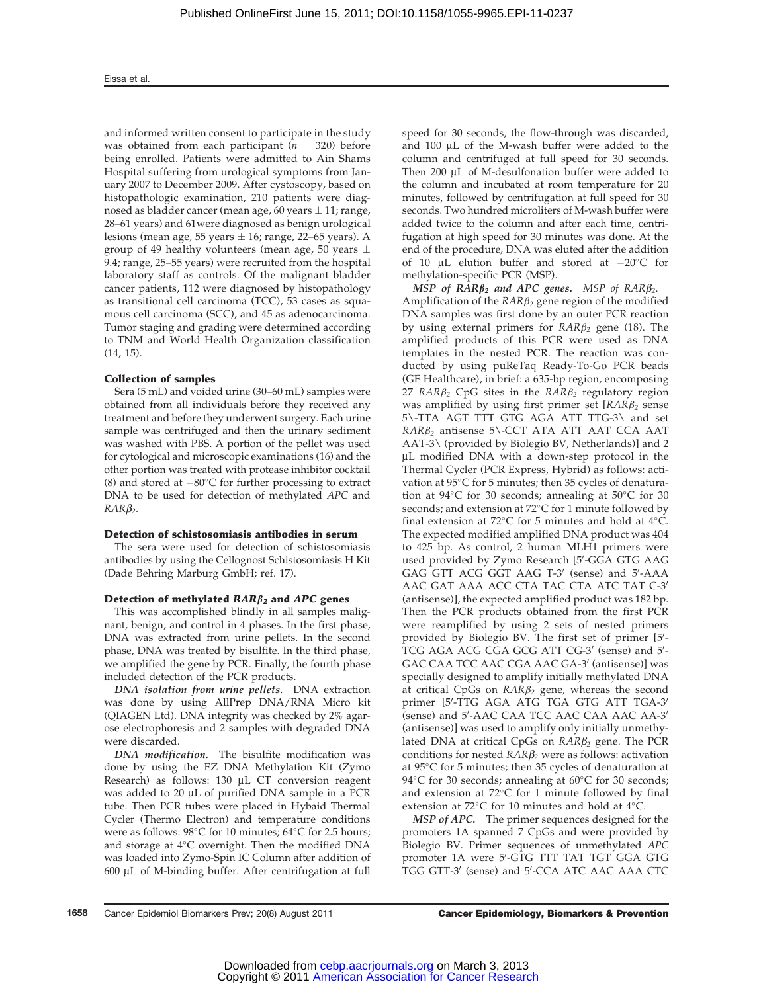and informed written consent to participate in the study was obtained from each participant ( $n = 320$ ) before being enrolled. Patients were admitted to Ain Shams Hospital suffering from urological symptoms from January 2007 to December 2009. After cystoscopy, based on histopathologic examination, 210 patients were diagnosed as bladder cancer (mean age, 60 years  $\pm$  11; range, 28–61 years) and 61were diagnosed as benign urological lesions (mean age, 55 years  $\pm$  16; range, 22–65 years). A group of 49 healthy volunteers (mean age, 50 years  $\pm$ 9.4; range, 25–55 years) were recruited from the hospital laboratory staff as controls. Of the malignant bladder cancer patients, 112 were diagnosed by histopathology as transitional cell carcinoma (TCC), 53 cases as squamous cell carcinoma (SCC), and 45 as adenocarcinoma. Tumor staging and grading were determined according to TNM and World Health Organization classification (14, 15).

# Collection of samples

Sera (5 mL) and voided urine (30–60 mL) samples were obtained from all individuals before they received any treatment and before they underwent surgery. Each urine sample was centrifuged and then the urinary sediment was washed with PBS. A portion of the pellet was used for cytological and microscopic examinations (16) and the other portion was treated with protease inhibitor cocktail (8) and stored at  $-80^{\circ}$ C for further processing to extract DNA to be used for detection of methylated APC and  $RARB<sub>2</sub>$ .

#### Detection of schistosomiasis antibodies in serum

The sera were used for detection of schistosomiasis antibodies by using the Cellognost Schistosomiasis H Kit (Dade Behring Marburg GmbH; ref. 17).

# Detection of methylated  $RAR\beta_2$  and APC genes

This was accomplished blindly in all samples malignant, benign, and control in 4 phases. In the first phase, DNA was extracted from urine pellets. In the second phase, DNA was treated by bisulfite. In the third phase, we amplified the gene by PCR. Finally, the fourth phase included detection of the PCR products.

DNA isolation from urine pellets. DNA extraction was done by using AllPrep DNA/RNA Micro kit (QIAGEN Ltd). DNA integrity was checked by 2% agarose electrophoresis and 2 samples with degraded DNA were discarded.

DNA modification. The bisulfite modification was done by using the EZ DNA Methylation Kit (Zymo Research) as follows: 130 µL CT conversion reagent was added to  $20 \mu L$  of purified DNA sample in a PCR tube. Then PCR tubes were placed in Hybaid Thermal Cycler (Thermo Electron) and temperature conditions were as follows:  $98^{\circ}$ C for 10 minutes;  $64^{\circ}$ C for 2.5 hours; and storage at  $4^{\circ}$ C overnight. Then the modified DNA was loaded into Zymo-Spin IC Column after addition of  $600 \mu L$  of M-binding buffer. After centrifugation at full speed for 30 seconds, the flow-through was discarded, and 100 µL of the M-wash buffer were added to the column and centrifuged at full speed for 30 seconds. Then 200 µL of M-desulfonation buffer were added to the column and incubated at room temperature for 20 minutes, followed by centrifugation at full speed for 30 seconds. Two hundred microliters of M-wash buffer were added twice to the column and after each time, centrifugation at high speed for 30 minutes was done. At the end of the procedure, DNA was eluted after the addition of 10  $\mu$ L elution buffer and stored at  $-20^{\circ}$ C for methylation-specific PCR (MSP).

MSP of  $RAR\beta_2$  and APC genes. MSP of  $RAR\beta_2$ . Amplification of the  $RAR\beta_2$  gene region of the modified DNA samples was first done by an outer PCR reaction by using external primers for  $RAR\beta_2$  gene (18). The amplified products of this PCR were used as DNA templates in the nested PCR. The reaction was conducted by using puReTaq Ready-To-Go PCR beads (GE Healthcare), in brief: a 635-bp region, encomposing 27 RAR $\beta_2$  CpG sites in the RAR $\beta_2$  regulatory region was amplified by using first primer set  $[RAR\beta_2]$  sense 5\-TTA AGT TTT GTG AGA ATT TTG-3\ and set  $RAR\beta_2$  antisense 5\-CCT ATA ATT AAT CCA AAT AAT-3\ (provided by Biolegio BV, Netherlands)] and 2 mL modified DNA with a down-step protocol in the Thermal Cycler (PCR Express, Hybrid) as follows: activation at 95°C for 5 minutes; then 35 cycles of denaturation at  $94^{\circ}$ C for 30 seconds; annealing at  $50^{\circ}$ C for 30 seconds; and extension at  $72^{\circ}$ C for 1 minute followed by final extension at 72 $\degree$ C for 5 minutes and hold at 4 $\degree$ C. The expected modified amplified DNA product was 404 to 425 bp. As control, 2 human MLH1 primers were used provided by Zymo Research [5'-GGA GTG AAG GAG GTT ACG GGT AAG T-3' (sense) and 5'-AAA AAC GAT AAA ACC CTA TAC CTA ATC TAT C-3' (antisense)], the expected amplified product was 182 bp. Then the PCR products obtained from the first PCR were reamplified by using 2 sets of nested primers provided by Biolegio BV. The first set of primer  $[5]$ TCG AGA ACG CGA GCG ATT CG-3' (sense) and 5'-GAC CAA TCC AAC CGA AAC GA-3' (antisense)] was specially designed to amplify initially methylated DNA at critical CpGs on  $RAR\beta_2$  gene, whereas the second primer [5′-TTG AGA ATG TGA GTG ATT TGA-3′ (sense) and 5'-AAC CAA TCC AAC CAA AAC AA-3' (antisense)] was used to amplify only initially unmethylated DNA at critical CpGs on  $RAR\beta_2$  gene. The PCR conditions for nested  $RAR\beta_2$  were as follows: activation at 95C for 5 minutes; then 35 cycles of denaturation at 94 $\degree$ C for 30 seconds; annealing at 60 $\degree$ C for 30 seconds; and extension at  $72^{\circ}$ C for 1 minute followed by final extension at 72 $^{\circ}$ C for 10 minutes and hold at 4 $^{\circ}$ C.

MSP of APC. The primer sequences designed for the promoters 1A spanned 7 CpGs and were provided by Biolegio BV. Primer sequences of unmethylated APC promoter 1A were 5'-GTG TTT TAT TGT GGA GTG TGG GTT-3' (sense) and 5'-CCA ATC AAC AAA CTC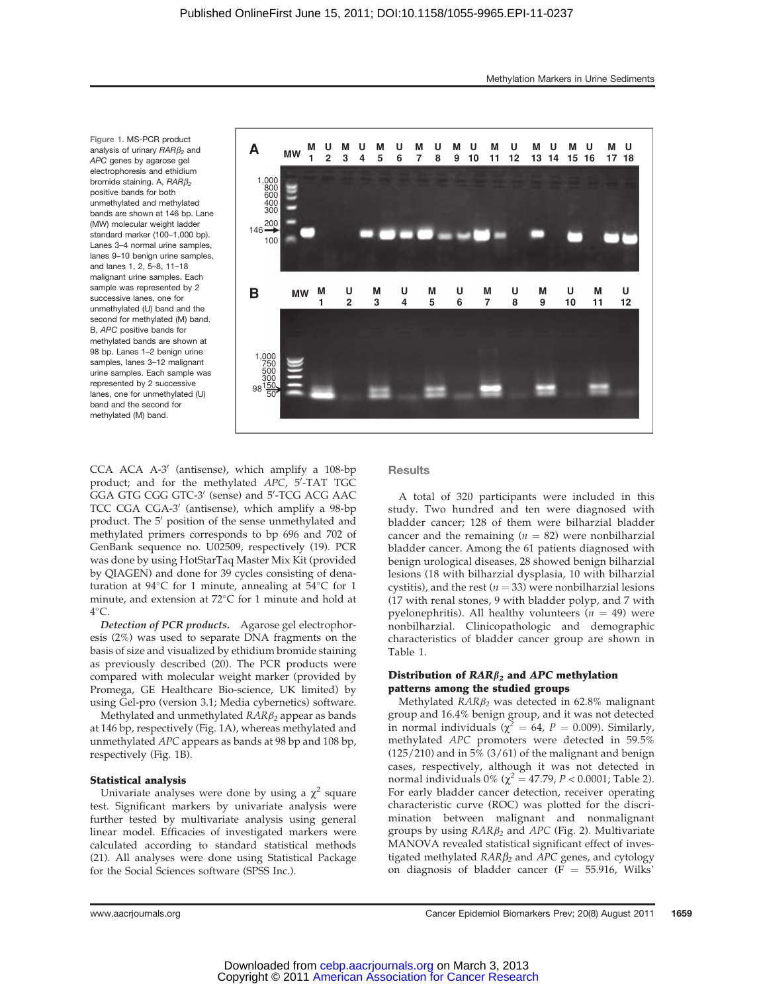Figure 1. MS-PCR product analysis of urinary  $RARB<sub>2</sub>$  and APC genes by agarose gel electrophoresis and ethidium bromide staining. A,  $RARB<sub>2</sub>$ positive bands for both unmethylated and methylated bands are shown at 146 bp. Lane (MW) molecular weight ladder standard marker (100–1,000 bp). Lanes 3–4 normal urine samples, lanes 9-10 benign urine samples. and lanes 1, 2, 5–8, 11–18 malignant urine samples. Each sample was represented by 2 successive lanes, one for unmethylated (U) band and the second for methylated (M) band. B, APC positive bands for methylated bands are shown at 98 bp. Lanes 1–2 benign urine samples, lanes 3–12 malignant urine samples. Each sample was represented by 2 successive lanes, one for unmethylated (U) band and the second for methylated (M) band.



 $CCA$  ACA A-3' (antisense), which amplify a 108-bp product; and for the methylated  $APC$ ,  $5'$ -TAT TGC GGA GTG CGG GTC-3' (sense) and 5'-TCG ACG AAC TCC CGA CGA-3' (antisense), which amplify a 98-bp product. The 5<sup>'</sup> position of the sense unmethylated and methylated primers corresponds to bp 696 and 702 of GenBank sequence no. U02509, respectively (19). PCR was done by using HotStarTaq Master Mix Kit (provided by QIAGEN) and done for 39 cycles consisting of denaturation at  $94^{\circ}$ C for 1 minute, annealing at  $54^{\circ}$ C for 1 minute, and extension at  $72^{\circ}$ C for 1 minute and hold at  $4^{\circ}$ C.

Detection of PCR products. Agarose gel electrophoresis (2%) was used to separate DNA fragments on the basis of size and visualized by ethidium bromide staining as previously described (20). The PCR products were compared with molecular weight marker (provided by Promega, GE Healthcare Bio-science, UK limited) by using Gel-pro (version 3.1; Media cybernetics) software.

Methylated and unmethylated  $RAR\beta_2$  appear as bands at 146 bp, respectively (Fig. 1A), whereas methylated and unmethylated APC appears as bands at 98 bp and 108 bp, respectively (Fig. 1B).

# Statistical analysis

Univariate analyses were done by using a  $\chi^2$  square test. Significant markers by univariate analysis were further tested by multivariate analysis using general linear model. Efficacies of investigated markers were calculated according to standard statistical methods (21). All analyses were done using Statistical Package for the Social Sciences software (SPSS Inc.).

**Results** 

A total of 320 participants were included in this study. Two hundred and ten were diagnosed with bladder cancer; 128 of them were bilharzial bladder cancer and the remaining ( $n = 82$ ) were nonbilharzial bladder cancer. Among the 61 patients diagnosed with benign urological diseases, 28 showed benign bilharzial lesions (18 with bilharzial dysplasia, 10 with bilharzial cystitis), and the rest ( $n = 33$ ) were nonbilharzial lesions (17 with renal stones, 9 with bladder polyp, and 7 with pyelonephritis). All healthy volunteers  $(n = 49)$  were nonbilharzial. Clinicopathologic and demographic characteristics of bladder cancer group are shown in Table 1.

# Distribution of  $\text{RAR}\beta_2$  and APC methylation patterns among the studied groups

Methylated  $RAR\beta_2$  was detected in 62.8% malignant group and 16.4% benign group, and it was not detected<br>in normal individuals ( $\chi^2 = 64$ ,  $P = 0.009$ ). Similarly, methylated APC promoters were detected in 59.5%  $(125/210)$  and in 5%  $(3/61)$  of the malignant and benign cases, respectively, although it was not detected in normal individuals  $0\%$  ( $\chi^2 = 47.79$ ,  $P < 0.0001$ ; Table 2). For early bladder cancer detection, receiver operating characteristic curve (ROC) was plotted for the discrimination between malignant and nonmalignant groups by using  $RAR\beta_2$  and  $APC$  (Fig. 2). Multivariate MANOVA revealed statistical significant effect of investigated methylated  $RAR\beta_2$  and  $APC$  genes, and cytology on diagnosis of bladder cancer ( $F = 55.916$ , Wilks'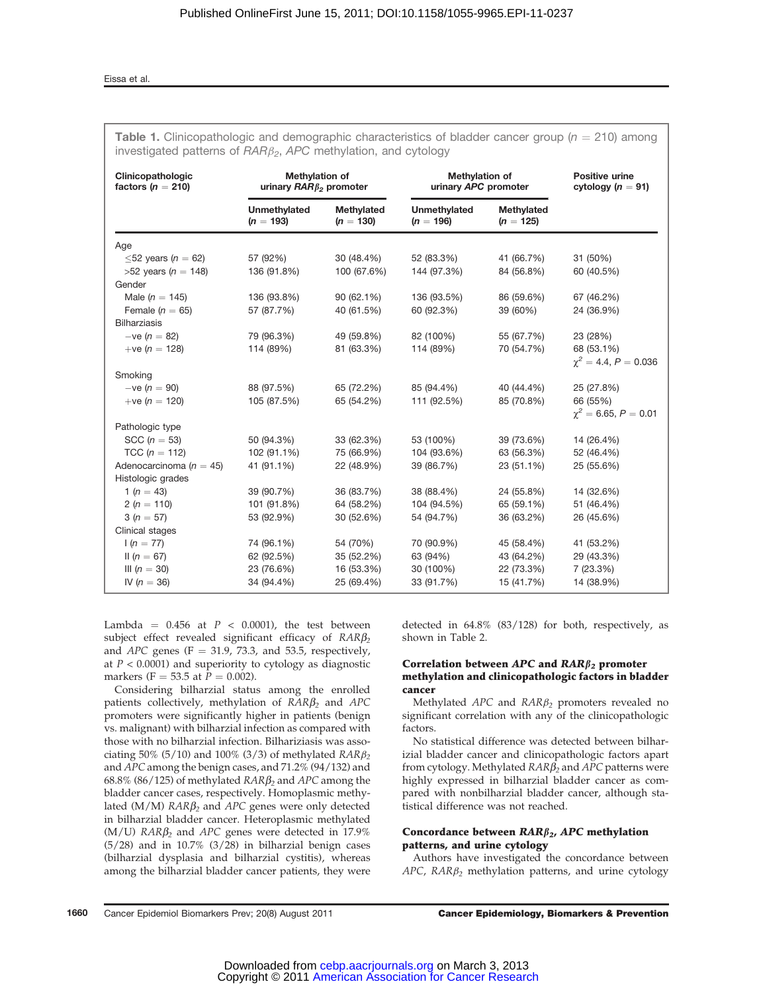# Eissa et al.

| Clinicopathologic<br>factors ( $n = 210$ ) | <b>Methylation of</b><br>urinary $RAR\beta_2$ promoter |                                  | <b>Methylation of</b><br>urinary APC promoter | <b>Positive urine</b><br>cytology ( $n = 91$ ) |                           |  |
|--------------------------------------------|--------------------------------------------------------|----------------------------------|-----------------------------------------------|------------------------------------------------|---------------------------|--|
|                                            | <b>Unmethylated</b><br>$(n = 193)$                     | <b>Methylated</b><br>$(n = 130)$ | <b>Unmethylated</b><br>$(n = 196)$            | Methylated<br>$(n = 125)$                      |                           |  |
| Age                                        |                                                        |                                  |                                               |                                                |                           |  |
| $\leq$ 52 years (n = 62)                   | 57 (92%)                                               | 30 (48.4%)                       | 52 (83.3%)                                    | 41 (66.7%)                                     | 31 (50%)                  |  |
| >52 years ( $n = 148$ )                    | 136 (91.8%)                                            | 100 (67.6%)                      | 144 (97.3%)                                   | 84 (56.8%)                                     | 60 (40.5%)                |  |
| Gender                                     |                                                        |                                  |                                               |                                                |                           |  |
| Male ( $n = 145$ )                         | 136 (93.8%)                                            | 90 (62.1%)                       | 136 (93.5%)                                   | 86 (59.6%)                                     | 67 (46.2%)                |  |
| Female ( $n = 65$ )                        | 57 (87.7%)                                             | 40 (61.5%)                       | 60 (92.3%)                                    | 39 (60%)                                       | 24 (36.9%)                |  |
| <b>Bilharziasis</b>                        |                                                        |                                  |                                               |                                                |                           |  |
| $-ve (n = 82)$                             | 79 (96.3%)                                             | 49 (59.8%)                       | 82 (100%)                                     | 55 (67.7%)                                     | 23 (28%)                  |  |
| +ve ( $n = 128$ )                          | 114 (89%)                                              | 81 (63.3%)                       | 114 (89%)                                     | 70 (54.7%)                                     | 68 (53.1%)                |  |
|                                            |                                                        |                                  |                                               |                                                | $\chi^2 = 4.4, P = 0.036$ |  |
| Smoking                                    |                                                        |                                  |                                               |                                                |                           |  |
| $-ve (n = 90)$                             | 88 (97.5%)                                             | 65 (72.2%)                       | 85 (94.4%)                                    | 40 (44.4%)                                     | 25 (27.8%)                |  |
| +ve $(n = 120)$                            | 105 (87.5%)                                            | 65 (54.2%)                       | 111 (92.5%)                                   | 85 (70.8%)                                     | 66 (55%)                  |  |
|                                            |                                                        |                                  |                                               |                                                | $\chi^2 = 6.65, P = 0.01$ |  |
| Pathologic type<br>SCC ( $n = 53$ )        | 50 (94.3%)                                             | 33 (62.3%)                       | 53 (100%)                                     | 39 (73.6%)                                     | 14 (26.4%)                |  |
| TCC ( $n = 112$ )                          | 102 (91.1%)                                            | 75 (66.9%)                       | 104 (93.6%)                                   | 63 (56.3%)                                     | 52 (46.4%)                |  |
| Adenocarcinoma ( $n = 45$ )                | 41 (91.1%)                                             | 22 (48.9%)                       | 39 (86.7%)                                    | 23 (51.1%)                                     | 25 (55.6%)                |  |
| Histologic grades                          |                                                        |                                  |                                               |                                                |                           |  |
| 1 ( $n = 43$ )                             | 39 (90.7%)                                             | 36 (83.7%)                       | 38 (88.4%)                                    | 24 (55.8%)                                     | 14 (32.6%)                |  |
| 2 ( $n = 110$ )                            | 101 (91.8%)                                            | 64 (58.2%)                       | 104 (94.5%)                                   | 65 (59.1%)                                     | 51 (46.4%)                |  |
| $3(n = 57)$                                | 53 (92.9%)                                             | 30 (52.6%)                       | 54 (94.7%)                                    | 36 (63.2%)                                     | 26 (45.6%)                |  |
| Clinical stages                            |                                                        |                                  |                                               |                                                |                           |  |
| $1(n = 77)$                                | 74 (96.1%)                                             | 54 (70%)                         | 70 (90.9%)                                    | 45 (58.4%)                                     | 41 (53.2%)                |  |
| II $(n = 67)$                              | 62 (92.5%)                                             | 35 (52.2%)                       | 63 (94%)                                      | 43 (64.2%)                                     | 29 (43.3%)                |  |
| III $(n = 30)$                             | 23 (76.6%)                                             | 16 (53.3%)                       | 30 (100%)                                     | 22 (73.3%)                                     | 7 (23.3%)                 |  |
| IV ( $n = 36$ )                            | 34 (94.4%)                                             | 25 (69.4%)                       | 33 (91.7%)                                    | 15 (41.7%)                                     | 14 (38.9%)                |  |

**Table 1.** Clinicopathologic and demographic characteristics of bladder cancer group ( $n = 210$ ) among  $inv$ estigated patterns of  $PABB<sub>z</sub>$ , APC methylation, and cytology

Lambda =  $0.456$  at  $P < 0.0001$ ), the test between subject effect revealed significant efficacy of  $RAR\beta_2$ and APC genes (F  $=$  31.9, 73.3, and 53.5, respectively, at  $P < 0.0001$ ) and superiority to cytology as diagnostic markers (F = 53.5 at  $P = 0.002$ ).

Considering bilharzial status among the enrolled patients collectively, methylation of  $RAR\beta_2$  and  $APC$ promoters were significantly higher in patients (benign vs. malignant) with bilharzial infection as compared with those with no bilharzial infection. Bilhariziasis was associating 50% (5/10) and 100% (3/3) of methylated  $RAR\beta_2$ and APC among the benign cases, and 71.2% (94/132) and 68.8% (86/125) of methylated  $RAR\beta_2$  and APC among the bladder cancer cases, respectively. Homoplasmic methylated ( $M/M$ )  $RAR\beta_2$  and  $APC$  genes were only detected in bilharzial bladder cancer. Heteroplasmic methylated  $(M/U)$  RAR $\beta_2$  and APC genes were detected in 17.9% (5/28) and in 10.7% (3/28) in bilharzial benign cases (bilharzial dysplasia and bilharzial cystitis), whereas among the bilharzial bladder cancer patients, they were detected in 64.8% (83/128) for both, respectively, as shown in Table 2.

# Correlation between APC and  $RAR\beta_2$  promoter methylation and clinicopathologic factors in bladder cancer

Methylated  $APC$  and  $RAR\beta_2$  promoters revealed no significant correlation with any of the clinicopathologic factors.

No statistical difference was detected between bilharizial bladder cancer and clinicopathologic factors apart from cytology. Methylated  $RAR\beta_2$  and APC patterns were highly expressed in bilharzial bladder cancer as compared with nonbilharzial bladder cancer, although statistical difference was not reached.

# Concordance between  $\text{RAR}\beta_{2}$ , APC methylation patterns, and urine cytology

Authors have investigated the concordance between  $APC$ ,  $RAR\beta_2$  methylation patterns, and urine cytology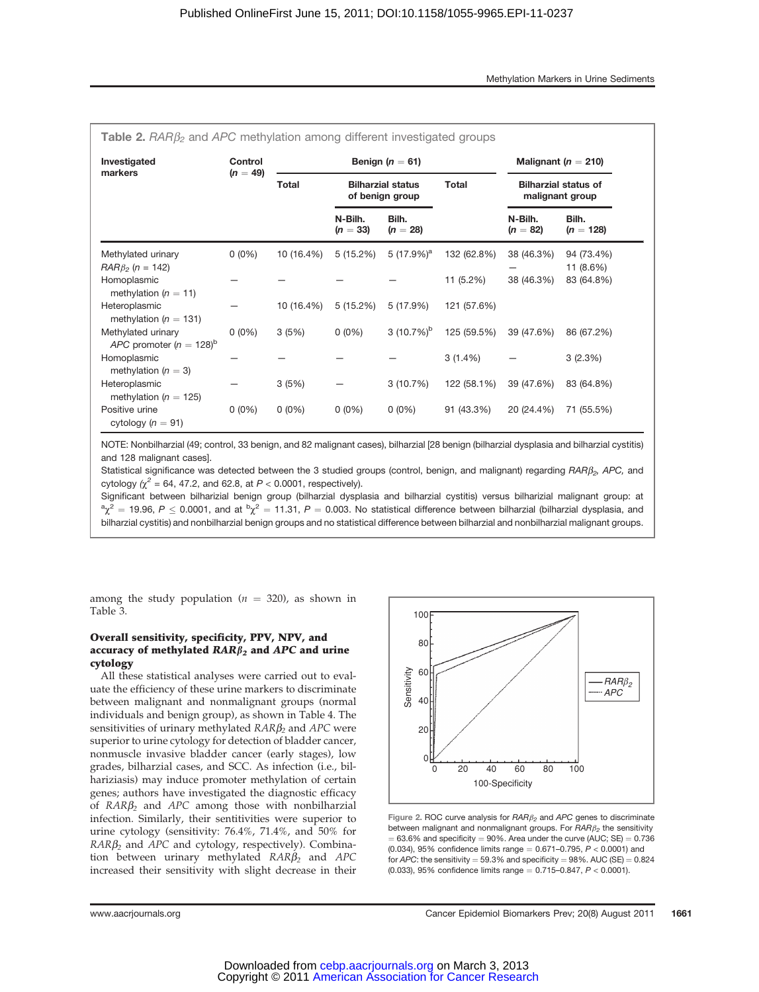| <b>Table 2.</b> $RAR\beta_2$ and APC methylation among different investigated groups |                       |              |                                                             |                         |             |                                                |                         |  |
|--------------------------------------------------------------------------------------|-----------------------|--------------|-------------------------------------------------------------|-------------------------|-------------|------------------------------------------------|-------------------------|--|
| Investigated<br>markers                                                              | Control<br>$(n = 49)$ |              | Benign $(n = 61)$                                           | Malignant ( $n = 210$ ) |             |                                                |                         |  |
|                                                                                      |                       | <b>Total</b> | <b>Total</b><br><b>Bilharzial status</b><br>of benign group |                         |             | <b>Bilharzial status of</b><br>malignant group |                         |  |
|                                                                                      |                       |              | N-Bilh.<br>$(n = 33)$                                       | Bilh.<br>$(n = 28)$     |             | N-Bilh.<br>$(n = 82)$                          | Bilh.<br>$(n = 128)$    |  |
| Methylated urinary<br>$RAR\beta_2$ (n = 142)                                         | $0(0\%)$              | 10 (16.4%)   | 5(15.2%)                                                    | 5 $(17.9\%)^a$          | 132 (62.8%) | 38 (46.3%)                                     | 94 (73.4%)<br>11 (8.6%) |  |
| Homoplasmic<br>methylation ( $n = 11$ )                                              |                       |              |                                                             |                         | 11 (5.2%)   | 38 (46.3%)                                     | 83 (64.8%)              |  |
| Heteroplasmic<br>methylation ( $n = 131$ )                                           |                       | 10 (16.4%)   | 5(15.2%)                                                    | 5 (17.9%)               | 121 (57.6%) |                                                |                         |  |
| Methylated urinary<br>APC promoter ( $n = 128$ ) <sup>b</sup>                        | $0(0\%)$              | 3(5%)        | $0(0\%)$                                                    | 3 $(10.7\%)^{\rm b}$    | 125 (59.5%) | 39 (47.6%)                                     | 86 (67.2%)              |  |
| Homoplasmic<br>methylation ( $n = 3$ )                                               |                       |              |                                                             |                         | $3(1.4\%)$  |                                                | 3(2.3%)                 |  |
| Heteroplasmic<br>methylation ( $n = 125$ )                                           |                       | 3(5%)        |                                                             | 3(10.7%)                | 122 (58.1%) | 39 (47.6%)                                     | 83 (64.8%)              |  |
| Positive urine<br>cytology ( $n = 91$ )                                              | $0(0\%)$              | $0(0\%)$     | $0(0\%)$                                                    | $0(0\%)$                | 91 (43.3%)  | 20 (24.4%)                                     | 71 (55.5%)              |  |

NOTE: Nonbilharzial (49; control, 33 benign, and 82 malignant cases), bilharzial [28 benign (bilharzial dysplasia and bilharzial cystitis) and 128 malignant cases].

Statistical significance was detected between the 3 studied groups (control, benign, and malignant) regarding  $RAR\beta_2$ , APC, and cytology ( $\chi^2$  = 64, 47.2, and 62.8, at P < 0.0001, respectively).

Significant between bilharizial benign group (bilharzial dysplasia and bilharzial cystitis) versus bilharizial malignant group: at  $\alpha\chi^2=$  19.96,  $P\leq$  0.0001, and at  $^b\chi^2=$  11.31,  $P=$  0.003. No statistical difference between bilharzial (bilharzial dysplasia, and bilharzial cystitis) and nonbilharzial benign groups and no statistical difference between bilharzial and nonbilharzial malignant groups.

among the study population ( $n = 320$ ), as shown in Table 3.

# Overall sensitivity, specificity, PPV, NPV, and accuracy of methylated  $RAR\beta_2$  and  $APC$  and urine cytology

All these statistical analyses were carried out to evaluate the efficiency of these urine markers to discriminate between malignant and nonmalignant groups (normal individuals and benign group), as shown in Table 4. The sensitivities of urinary methylated  $RAR\beta_2$  and  $APC$  were superior to urine cytology for detection of bladder cancer, nonmuscle invasive bladder cancer (early stages), low grades, bilharzial cases, and SCC. As infection (i.e., bilhariziasis) may induce promoter methylation of certain genes; authors have investigated the diagnostic efficacy of  $RAR\beta_2$  and  $APC$  among those with nonbilharzial infection. Similarly, their sentitivities were superior to urine cytology (sensitivity: 76.4%, 71.4%, and 50% for  $RAR\beta_2$  and APC and cytology, respectively). Combination between urinary methylated  $RAR\beta_2$  and  $APC$ increased their sensitivity with slight decrease in their



Figure 2. ROC curve analysis for  $RAR\beta_2$  and APC genes to discriminate between malignant and nonmalignant groups. For  $RARB<sub>2</sub>$  the sensitivity  $= 63.6\%$  and specificity  $= 90\%$ . Area under the curve (AUC; SE)  $= 0.736$ (0.034), 95% confidence limits range  $= 0.671 - 0.795$ ,  $P < 0.0001$ ) and for APC: the sensitivity = 59.3% and specificity =  $98\%$ . AUC (SE) =  $0.824$ (0.033), 95% confidence limits range  $= 0.715 - 0.847$ ,  $P < 0.0001$ ).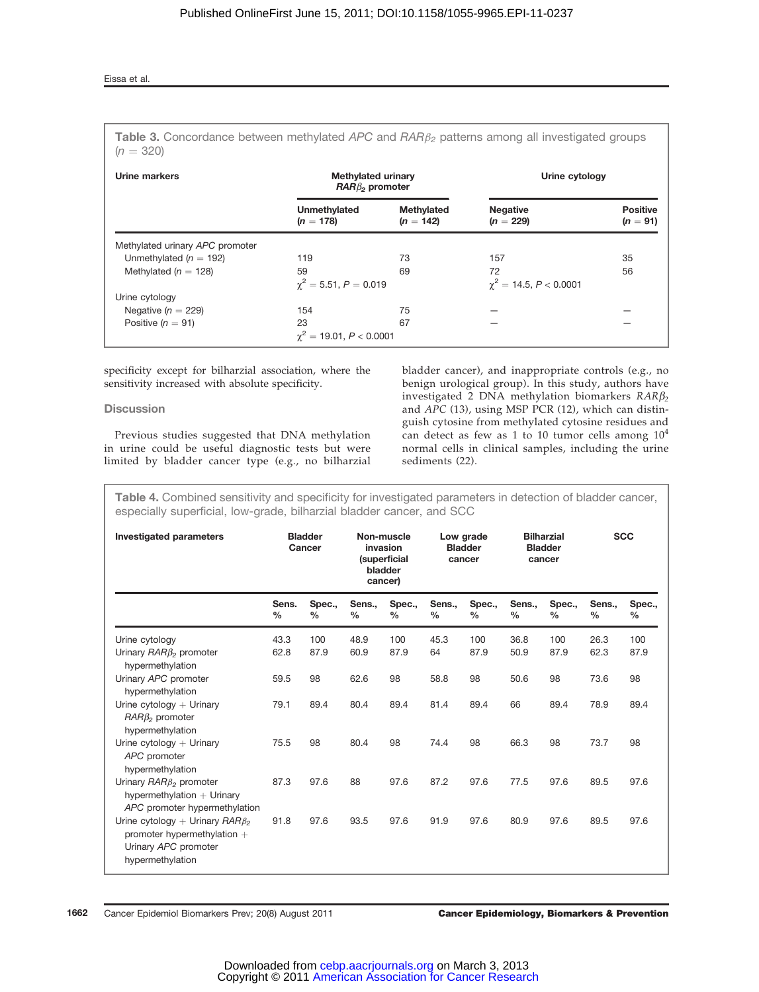# Eissa et al.

Table 3. Concordance between methylated APC and  $A A B_{\beta}$  patterns among all investigated groups  $(n = 320)$ 

| Urine markers                   | <b>Methylated urinary</b><br>$RAR\beta_2$ promoter |                           | Urine cytology                 |                               |  |
|---------------------------------|----------------------------------------------------|---------------------------|--------------------------------|-------------------------------|--|
|                                 | Unmethylated<br>$(n = 178)$                        | Methylated<br>$(n = 142)$ | <b>Negative</b><br>$(n = 229)$ | <b>Positive</b><br>$(n = 91)$ |  |
| Methylated urinary APC promoter |                                                    |                           |                                |                               |  |
| Unmethylated ( $n = 192$ )      | 119                                                | 73                        | 157                            | 35                            |  |
| Methylated ( $n = 128$ )        | 59                                                 | 69                        | 72                             | 56                            |  |
|                                 | $\gamma^2 = 5.51, P = 0.019$                       |                           | $\chi^2 = 14.5, P < 0.0001$    |                               |  |
| Urine cytology                  |                                                    |                           |                                |                               |  |
| Negative $(n = 229)$            | 154                                                | 75                        |                                |                               |  |
| Positive ( $n = 91$ )           | 23                                                 | 67                        |                                |                               |  |
|                                 | $\gamma^2 = 19.01, P < 0.0001$                     |                           |                                |                               |  |

specificity except for bilharzial association, where the sensitivity increased with absolute specificity.

# **Discussion**

Previous studies suggested that DNA methylation in urine could be useful diagnostic tests but were limited by bladder cancer type (e.g., no bilharzial bladder cancer), and inappropriate controls (e.g., no benign urological group). In this study, authors have investigated 2 DNA methylation biomarkers  $RAR\beta_2$ and APC (13), using MSP PCR (12), which can distinguish cytosine from methylated cytosine residues and can detect as few as 1 to 10 tumor cells among  $10^4$ normal cells in clinical samples, including the urine sediments (22).

Table 4. Combined sensitivity and specificity for investigated parameters in detection of bladder cancer, especially superficial, low-grade, bilharzial bladder cancer, and SCC

| <b>Investigated parameters</b>                                                                                     | <b>Bladder</b><br>Cancer |                         |                         | Non-muscle<br>invasion<br><i>(superficial</i><br>bladder<br>cancer) | Low grade<br><b>Bladder</b><br>cancer |                         | <b>Bilharzial</b><br><b>Bladder</b><br>cancer |                | <b>SCC</b>     |             |
|--------------------------------------------------------------------------------------------------------------------|--------------------------|-------------------------|-------------------------|---------------------------------------------------------------------|---------------------------------------|-------------------------|-----------------------------------------------|----------------|----------------|-------------|
|                                                                                                                    | Sens.<br>$\frac{0}{0}$   | Spec.,<br>$\frac{0}{0}$ | Sens.,<br>$\frac{0}{0}$ | Spec.,<br>$\%$                                                      | Sens.,<br>$\%$                        | Spec.,<br>$\frac{0}{0}$ | Sens.,<br>$\frac{0}{0}$                       | Spec.,<br>$\%$ | Sens.,<br>$\%$ | Spec.,<br>% |
| Urine cytology                                                                                                     | 43.3                     | 100                     | 48.9                    | 100                                                                 | 45.3                                  | 100                     | 36.8                                          | 100            | 26.3           | 100         |
| Urinary $RAR\beta_2$ promoter<br>hypermethylation                                                                  | 62.8                     | 87.9                    | 60.9                    | 87.9                                                                | 64                                    | 87.9                    | 50.9                                          | 87.9           | 62.3           | 87.9        |
| Urinary APC promoter<br>hypermethylation                                                                           | 59.5                     | 98                      | 62.6                    | 98                                                                  | 58.8                                  | 98                      | 50.6                                          | 98             | 73.6           | 98          |
| Urine cytology $+$ Urinary<br>$RAR\beta_2$ promoter<br>hypermethylation                                            | 79.1                     | 89.4                    | 80.4                    | 89.4                                                                | 81.4                                  | 89.4                    | 66                                            | 89.4           | 78.9           | 89.4        |
| Urine $cytology + Urinary$<br>APC promoter<br>hypermethylation                                                     | 75.5                     | 98                      | 80.4                    | 98                                                                  | 74.4                                  | 98                      | 66.3                                          | 98             | 73.7           | 98          |
| Urinary $RAR\beta_2$ promoter<br>hypermethylation $+$ Urinary<br>APC promoter hypermethylation                     | 87.3                     | 97.6                    | 88                      | 97.6                                                                | 87.2                                  | 97.6                    | 77.5                                          | 97.6           | 89.5           | 97.6        |
| Urine cytology + Urinary $RAR\beta_2$<br>promoter hypermethylation $+$<br>Urinary APC promoter<br>hypermethylation | 91.8                     | 97.6                    | 93.5                    | 97.6                                                                | 91.9                                  | 97.6                    | 80.9                                          | 97.6           | 89.5           | 97.6        |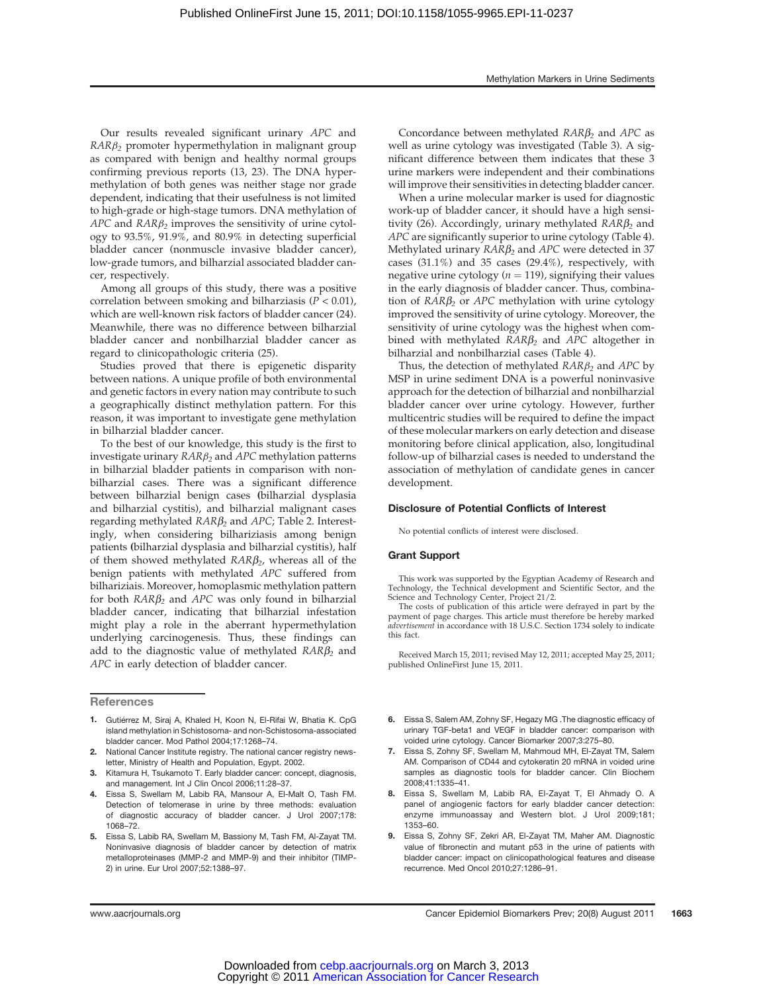Our results revealed significant urinary APC and  $RAR\beta_2$  promoter hypermethylation in malignant group as compared with benign and healthy normal groups confirming previous reports (13, 23). The DNA hypermethylation of both genes was neither stage nor grade dependent, indicating that their usefulness is not limited to high-grade or high-stage tumors. DNA methylation of APC and  $RAR\beta_2$  improves the sensitivity of urine cytology to 93.5%, 91.9%, and 80.9% in detecting superficial bladder cancer (nonmuscle invasive bladder cancer), low-grade tumors, and bilharzial associated bladder cancer, respectively.

Among all groups of this study, there was a positive correlation between smoking and bilharziasis ( $P < 0.01$ ), which are well-known risk factors of bladder cancer (24). Meanwhile, there was no difference between bilharzial bladder cancer and nonbilharzial bladder cancer as regard to clinicopathologic criteria (25).

Studies proved that there is epigenetic disparity between nations. A unique profile of both environmental and genetic factors in every nation may contribute to such a geographically distinct methylation pattern. For this reason, it was important to investigate gene methylation in bilharzial bladder cancer.

To the best of our knowledge, this study is the first to investigate urinary  $RAR\beta_2$  and  $APC$  methylation patterns in bilharzial bladder patients in comparison with nonbilharzial cases. There was a significant difference between bilharzial benign cases (bilharzial dysplasia and bilharzial cystitis), and bilharzial malignant cases regarding methylated  $RAR\beta_2$  and  $APC$ ; Table 2. Interestingly, when considering bilhariziasis among benign patients (bilharzial dysplasia and bilharzial cystitis), half of them showed methylated  $RAR\beta_2$ , whereas all of the benign patients with methylated APC suffered from bilhariziais. Moreover, homoplasmic methylation pattern for both  $RAR\beta_2$  and APC was only found in bilharzial bladder cancer, indicating that bilharzial infestation might play a role in the aberrant hypermethylation underlying carcinogenesis. Thus, these findings can add to the diagnostic value of methylated  $RAR\beta_2$  and APC in early detection of bladder cancer.

Concordance between methylated  $RAR\beta_2$  and  $APC$  as well as urine cytology was investigated (Table 3). A significant difference between them indicates that these 3 urine markers were independent and their combinations will improve their sensitivities in detecting bladder cancer.

When a urine molecular marker is used for diagnostic work-up of bladder cancer, it should have a high sensitivity (26). Accordingly, urinary methylated  $RAR\beta_2$  and APC are significantly superior to urine cytology (Table 4). Methylated urinary  $RAR\beta_2$  and APC were detected in 37 cases (31.1%) and 35 cases (29.4%), respectively, with negative urine cytology ( $n = 119$ ), signifying their values in the early diagnosis of bladder cancer. Thus, combination of  $RAR\beta_2$  or  $APC$  methylation with urine cytology improved the sensitivity of urine cytology. Moreover, the sensitivity of urine cytology was the highest when combined with methylated  $RAR\beta_2$  and  $APC$  altogether in bilharzial and nonbilharzial cases (Table 4).

Thus, the detection of methylated  $RAR\beta_2$  and  $APC$  by MSP in urine sediment DNA is a powerful noninvasive approach for the detection of bilharzial and nonbilharzial bladder cancer over urine cytology. However, further multicentric studies will be required to define the impact of these molecular markers on early detection and disease monitoring before clinical application, also, longitudinal follow-up of bilharzial cases is needed to understand the association of methylation of candidate genes in cancer development.

#### Disclosure of Potential Conflicts of Interest

No potential conflicts of interest were disclosed.

# Grant Support

This work was supported by the Egyptian Academy of Research and Technology, the Technical development and Scientific Sector, and the Science and Technology Center, Project 21/2.

The costs of publication of this article were defrayed in part by the payment of page charges. This article must therefore be hereby marked advertisement in accordance with 18 U.S.C. Section 1734 solely to indicate this fact.

Received March 15, 2011; revised May 12, 2011; accepted May 25, 2011; published OnlineFirst June 15, 2011.

- 6. Eissa S, Salem AM, Zohny SF, Hegazy MG .The diagnostic efficacy of urinary TGF-beta1 and VEGF in bladder cancer: comparison with voided urine cytology. Cancer Biomarker 2007;3:275–80.
- 7. Eissa S, Zohny SF, Swellam M, Mahmoud MH, El-Zayat TM, Salem AM. Comparison of CD44 and cytokeratin 20 mRNA in voided urine samples as diagnostic tools for bladder cancer. Clin Biochem 2008;41:1335–41.
- 8. Eissa S, Swellam M, Labib RA, El-Zayat T, El Ahmady O. A panel of angiogenic factors for early bladder cancer detection: enzyme immunoassay and Western blot. J Urol 2009;181; 1353–60.
- 9. Eissa S, Zohny SF, Zekri AR, El-Zayat TM, Maher AM. Diagnostic value of fibronectin and mutant p53 in the urine of patients with bladder cancer: impact on clinicopathological features and disease recurrence. Med Oncol 2010;27:1286–91.

**References** 

<sup>1.</sup> Gutiérrez M, Siraj A, Khaled H, Koon N, El-Rifai W, Bhatia K. CpG island methylation in Schistosoma- and non-Schistosoma-associated bladder cancer. Mod Pathol 2004;17:1268–74.

<sup>2.</sup> National Cancer Institute registry. The national cancer registry newsletter, Ministry of Health and Population, Egypt. 2002.

<sup>3.</sup> Kitamura H, Tsukamoto T. Early bladder cancer: concept, diagnosis, and management. Int J Clin Oncol 2006;11:28–37.

<sup>4.</sup> Eissa S, Swellam M, Labib RA, Mansour A, El-Malt O, Tash FM. Detection of telomerase in urine by three methods: evaluation of diagnostic accuracy of bladder cancer. J Urol 2007;178: 1068–72.

<sup>5.</sup> Eissa S, Labib RA, Swellam M, Bassiony M, Tash FM, Al-Zayat TM. Noninvasive diagnosis of bladder cancer by detection of matrix metalloproteinases (MMP-2 and MMP-9) and their inhibitor (TIMP-2) in urine. Eur Urol 2007;52:1388–97.